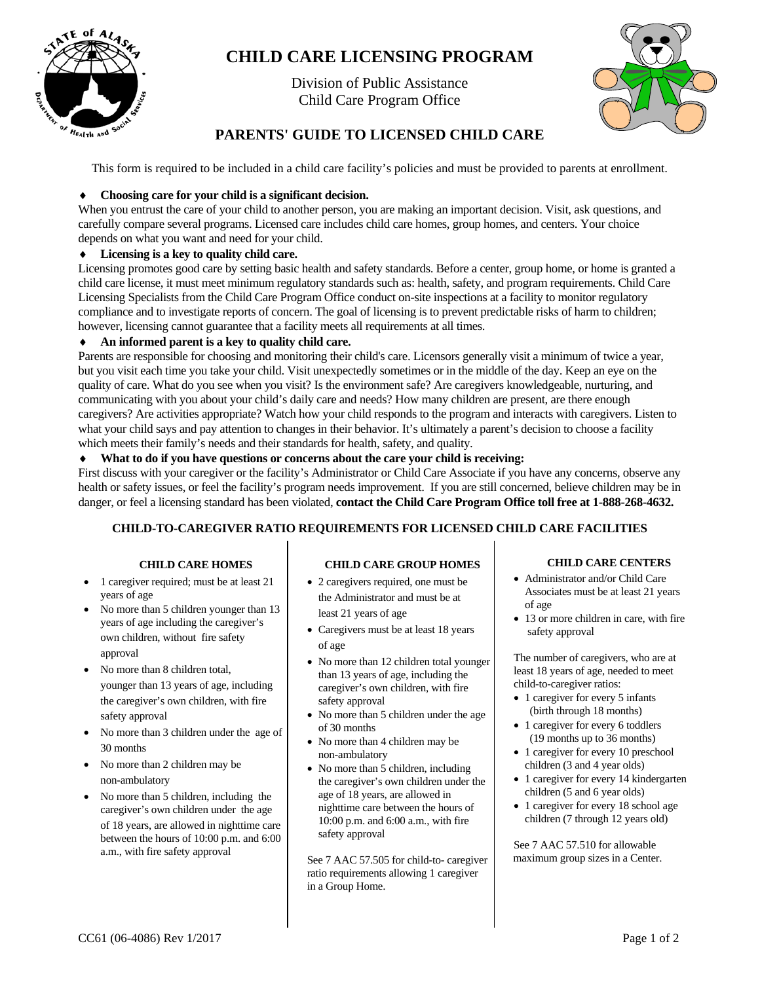

# **CHILD CARE LICENSING PROGRAM**

Division of Public Assistance Child Care Program Office



# **PARENTS' GUIDE TO LICENSED CHILD CARE**

This form is required to be included in a child care facility's policies and must be provided to parents at enrollment.

# ♦ **Choosing care for your child is a significant decision.**

When you entrust the care of your child to another person, you are making an important decision. Visit, ask questions, and carefully compare several programs. Licensed care includes child care homes, group homes, and centers. Your choice depends on what you want and need for your child.

# ♦ **Licensing is a key to quality child care.**

Licensing promotes good care by setting basic health and safety standards. Before a center, group home, or home is granted a child care license, it must meet minimum regulatory standards such as: health, safety, and program requirements. Child Care Licensing Specialists from the Child Care Program Office conduct on-site inspections at a facility to monitor regulatory compliance and to investigate reports of concern. The goal of licensing is to prevent predictable risks of harm to children; however, licensing cannot guarantee that a facility meets all requirements at all times.

# ♦ **An informed parent is a key to quality child care.**

Parents are responsible for choosing and monitoring their child's care. Licensors generally visit a minimum of twice a year, but you visit each time you take your child. Visit unexpectedly sometimes or in the middle of the day. Keep an eye on the quality of care. What do you see when you visit? Is the environment safe? Are caregivers knowledgeable, nurturing, and communicating with you about your child's daily care and needs? How many children are present, are there enough caregivers? Are activities appropriate? Watch how your child responds to the program and interacts with caregivers. Listen to what your child says and pay attention to changes in their behavior. It's ultimately a parent's decision to choose a facility which meets their family's needs and their standards for health, safety, and quality.

# ♦ **What to do if you have questions or concerns about the care your child is receiving:**

First discuss with your caregiver or the facility's Administrator or Child Care Associate if you have any concerns, observe any health or safety issues, or feel the facility's program needs improvement. If you are still concerned, believe children may be in danger, or feel a licensing standard has been violated, **contact the Child Care Program Office toll free at 1-888-268-4632.**

# **CHILD-TO-CAREGIVER RATIO REQUIREMENTS FOR LICENSED CHILD CARE FACILITIES**

# **CHILD CARE HOMES**

- 1 caregiver required; must be at least 21 years of age
- No more than 5 children younger than 13 years of age including the caregiver's own children, without fire safety approval
- No more than 8 children total, younger than 13 years of age, including the caregiver's own children, with fire safety approval
- No more than 3 children under the age of 30 months
- No more than 2 children may be non-ambulatory
- No more than 5 children, including the caregiver's own children under the age of 18 years, are allowed in nighttime care between the hours of 10:00 p.m. and 6:00 a.m., with fire safety approval

# **CHILD CARE GROUP HOMES**

- 2 caregivers required, one must be the Administrator and must be at least 21 years of age
- Caregivers must be at least 18 years of age
- No more than 12 children total younger than 13 years of age, including the caregiver's own children, with fire safety approval
- No more than 5 children under the age of 30 months
- No more than 4 children may be non-ambulatory
- No more than 5 children, including the caregiver's own children under the age of 18 years, are allowed in nighttime care between the hours of 10:00 p.m. and 6:00 a.m., with fire safety approval

See 7 AAC 57.505 for child-to- caregiver ratio requirements allowing 1 caregiver in a Group Home.

### **CHILD CARE CENTERS**

- Administrator and/or Child Care Associates must be at least 21 years of age
- 13 or more children in care, with fire safety approval

The number of caregivers, who are at least 18 years of age, needed to meet child-to-caregiver ratios:

- 1 caregiver for every 5 infants (birth through 18 months)
- 1 caregiver for every 6 toddlers (19 months up to 36 months)
- 1 caregiver for every 10 preschool children (3 and 4 year olds)
- 1 caregiver for every 14 kindergarten children (5 and 6 year olds)
- 1 caregiver for every 18 school age children (7 through 12 years old)

See 7 AAC 57.510 for allowable maximum group sizes in a Center.